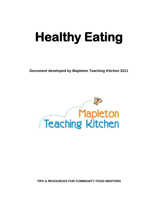# **Healthy Eating**

**Document developed by Mapleton Teaching Kitchen 2011**



**TIPS & RESOURCES FOR COMMUNITY FOOD MENTORS**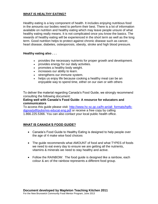### **WHAT IS HEALTHY EATING?**

Healthy eating is a key component of health. It includes enjoying nutritious food in the amounts our bodies need to perform their best. There is a lot of information available on nutrition and healthy eating which may leave people unsure of what healthy eating really means. It is not complicated once you know the basics. The rewards of healthy eating will be experienced in the short term as well as the long term. Good nutrition helps to protect against chronic disease such as cancer, heart disease, diabetes, osteoporosis, obesity, stroke and high blood pressure.

### **Healthy eating also . . .**

- provides the necessary nutrients for proper growth and development.
- provides energy for our daily activities.
- promotes a healthy body weight.
- increases our ability to learn.
- strengthens our immune system.
- helps us enjoy life because cooking a healthy meal can be an enjoyable way to spend time, either on our own or with others

To deliver the material regarding Canada's Food Guide, we strongly recommend consulting the following document:

### **Eating well with Canada's Food Guide- A resource for educators and communicators**

To access this guide please visit: [http://www.hc-sc.gc.ca/fn-an/alt\\_formats/hpfb](http://www.hc-sc.gc.ca/fn-an/alt_formats/hpfb-dgpsa/pdf/pubs/res-educat-eng.pdf)[dgpsa/pdf/pubs/res-educat-eng.pdf](http://www.hc-sc.gc.ca/fn-an/alt_formats/hpfb-dgpsa/pdf/pubs/res-educat-eng.pdf) or receive a free copy by calling 1.866.225.5366. You can also contact your local public health office.

### **WHAT IS CANADA'S FOOD GUIDE?**

- Canada's Food Guide to Healthy Eating is designed to help people over the age of 4 make wise food choices
- The guide recommends what AMOUNT of food and what TYPES of foods we need to eat every day to ensure we are getting all the nutrients, vitamins & minerals we need to stay healthy and active.
- Follow the RAINBOW: The food guide is designed like a rainbow, each colour & arc of the rainbow represents a different food group.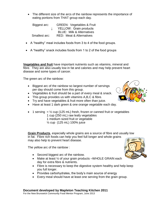The different size of the arcs of the rainbow represents the importance of eating portions from THAT group each day.

Biggest arc: GREEN: Vegetables & Fruit ↓ YELLOW: Grain products BLUE: Milk & Alternatives Smallest arc: RED: Meat & Alternatives

- A "healthy" meal includes foods from 3 to 4 of the food groups.
- A "healthy" snack includes foods from 1 to 2 of the food groups

**Vegetables and fruit** have important nutrients such as vitamins, mineral and fibre. They are also usually low in fat and calories and may help prevent heart disease and some types of cancer.

The green arc of the rainbow:

- Biggest arc of the rainbow so largest number of servings per day should come from this group.
- Vegetables & fruit should be a part of every meal & snack.
- This group provides us with vitamins A,B,C & fibre.
- Try and have vegetables & fruit more often than juice.
- Have at least 1 dark green & one orange vegetable each day.
- 1 serving  $=$  1/<sub>2</sub> cup (125 mL) fresh, frozen or canned fruit or vegetables
	- 1 cup (250 mL) raw leafy vegetables
	- 1 medium sized fruit or vegetable
	- ½ cup (125 mL) 100% juice

**Grain Products**, especially whole grains are a source of fibre and usually low in fat. Fibre rich foods can help you feel full longer and whole grains may also help to prevent heart disease.

The yellow arc of the rainbow :

- Second biggest arc of the rainbow.
- Make at least 1/2 of your grain products WHOLE GRAIN each day for extra fibre & nutrients.
- Fibre is necessary to keep the digestive system healthy and help keep you full longer.
- Provides carbohydrates, the body's main source of energy
- Every meal should have at least one serving from the grain group.

For the New Brunswick Community Food Mentor Program, June 2013



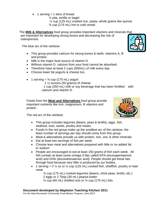- 1 serving  $=$  1 slice of bread
	- ½ pita, tortilla or bagel

 ½ cup (125 mL) cooked rice, pasta, whole grains like quinoa ¾ cup (175 mL) hot or cold cereal

The **Milk & Alternatives** food group provides important vitamins and minerals that are important for developing strong bones and decreasing the risk of osteoporosis.

The blue arc of the rainbow:

- This group provides calcium for strong bones & teeth, vitamins A, B and protein.
- Milk is the major food source of vitamin D.
- Without vitamin D, calcium from your food cannot be absorbed.
- Therefore have at least 2 cups (500mL) of milk every day.
- Choose lower fat yogurts & cheese too.
- 1 serving  $=$   $\frac{3}{4}$  cup (175 mL) yogurt

1 ½ ounces (50 grams) of cheese

 1 cup (250 mL) milk or soy beverage that has been fortified with calcium and vitamin D.

Foods from the **Meat and Alternatives** food group provide important nutrients like iron, magnesium, B vitamins and protein.

The red arc of the rainbow:

- This group includes legumes (beans, peas & lentils), eggs, fish, seafood, nuts, seeds, poultry and meats.
- Foods in the red group make up the smallest arc of the rainbow, the least number of servings per day should come from this group.
- Meat & alternatives provide us with protein, iron, zinc & other minerals
- Eat at least two servings of fish per week.
- Choose lean meat and alternatives prepared with little or no added fat or sodium
- People are encouraged to eat at least 150 grams of fish each week. All fish contain at least some omega-3 fats called EPA (eicosapentaenoic acid) and DHA (docosahexaenoic acid). People should get these fats through food because very little is produced by our bodies.
- 1 serving =  $2\frac{1}{2}$  oz or  $\frac{1}{2}$  cup (125 mL) cooked fish, shellfish, poultry or lean meat

 ¾ cup (175 mL) cooked legumes (beans, chick peas, lentils, etc.) 2 eggs or 2 Tbsp (30 mL) peanut butter  $\frac{1}{4}$  cup (60 mL) shelled nuts or  $\frac{3}{4}$  cup (175 mL) tofu

### **Document developed by Mapleton Teaching Kitchen 2011**

For the New Brunswick Community Food Mentor Program, June 2013



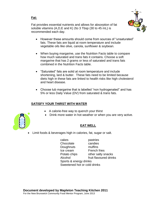### **Fat:**

Fat provides essential nutrients and allows for absorption of fat soluble vitamins (A,D,E and K) 2to 3 Tbsp (30 to 45 mL) is recommended each day.



- However these amounts should come from sources of "unsaturated" fats. These fats are liquid at room temperature and include vegetable oils like olive, canola, sunflower & soybean.
- When buying margarine, use the Nutrition Facts table to compare how much saturated and trans fats it contains. Choose a soft margarine that has 2 grams or less of saturated and trans fats combined in the Nutrition Facts table.
- "Saturated" fats are solid at room temperature and include shortening, lard & butter. These fats need to be limited because diets high in these fats are linked to health risks like high cholesterol and heart disease.
- Choose tub margarine that is labelled "non hydrogenated" and has 5% or less Daily Value (DV) from saturated & trans fats.

### **SATISFY YOUR THIRST WITH WATER**

- A calorie-free way to quench your thirst
- Drink more water in hot weather or when you are very active.



### **EAT WELL**

Limit foods & beverages high in calories, fat, sugar or salt.

 cakes pastries Chocolate candies Doughnuts muffins Ice cream French fries Potato chips other salty snacks Alcohol fruit flavoured drinks Sports & energy drinks Sweetened hot or cold drinks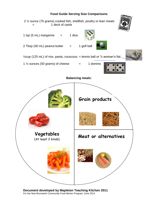## **Food Guide Serving Size Comparisons**



**Document developed by Mapleton Teaching Kitchen 2011** For the New Brunswick Community Food Mentor Program, June 2013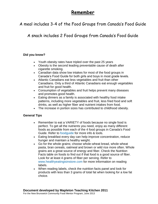### **Remember**

A meal includes 3-4 of the Food Groups from Canada's Food Guide

A snack includes 2 Food Groups from Canada's Food Guide

### **Did you know?**

- Youth obesity rates have tripled over the past 25 years
- Obesity is the second leading preventable cause of death after cigarette smoking.
- Canadian data show low intakes for most of the food groups in Canada's Food Guide for both girls and boys in most grade levels.
- Atlantic Canadians eat less vegetables and fruit than other Canadians. Only a third of Atlantic Canadians eat enough vegetables and fruit for good health.
- Consumption of vegetables and fruit helps prevent many diseases and promotes good health.
- Eating dinners as a family is associated with healthy food intake patterns, including more vegetables and fruit, less fried food and soft drinks, as well as higher fiber and nutrient intakes from food.
- The increase in portion sizes has contributed to childhood obesity.

### **General Tips**

- Remember to eat a VARIETY of foods because no single food is perfect. To get all the nutrients you need, enjoy as many different foods as possible from each of the 4 food groups in Canada's Food Guide. Refer to [foodguide](http://www.hc-sc.gc.ca/fn-an/food-guide-aliment/index-eng.php) for more info & tools.
- Eating breakfast every day can help improve concentration, reduce hunger and maintain a healthy weight.
- Go for the whole grains; choose whole-wheat bread, whole wheat pasta, bran cereals, oatmeal and brown or wild rice more often. Whole grains are a great source of energy and fiber. Check the Nutrition Facts table on foods to find out if that food is a good source of fiber. Look for at least 4 grams of fiber per serving. Refer to [www.healthyeatingisinstore.com](http://www.healthyeatingisinstore.com/) for more information on reading labels.
- When reading labels, check the nutrition facts panel and look for products with less than 3 grams of total fat when looking for a low fat choice.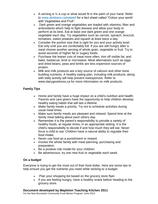- A serving is  $\frac{1}{2}$  a cup or what would fit in the palm of your hand. Refer to [www.dietitians.ca/eatwell](http://www.dietitians.ca/eatwell) for a fact sheet called "Colour your world with Vegetables and Fruit".
- Dark green and orange vegetables are loaded with vitamins, fiber and antioxidants which help to fight disease and allow your body to perform at its best. Eat at least one dark green and one orange vegetable each day. Try vegetables such as carrots, spinach, broccoli, tomatoes, sweet potatoes and squash at least twice a day.
- Consider the portion size that is right for you and your activity level. Eat only until you are comfortably full. If you are still hungry after a meal choose another serving of whole grain, vegetable or fruit. Try to avoid seconds of higher fat or sugary foods.
- Purchase the leaner cuts of meat more often, trim off visible fat, and bake, barbecue, broil or microwave. Meat alternatives such as eggs and dried beans, peas and lentils are less expensive sources of protein.
- Milk and milk products are a key source of calcium and other bone building nutrients. A healthy eating plan, including milk products, along with daily activity will help prevent osteoporosis. Refer to www.dairygoodness.ca for more information on milk products.

### **Family Tips**

- Home and family have a huge impact on a child's nutrition and health. Parents and care givers have the opportunity to help children develop healthy eating habits that will last a lifetime.
- Make family meals a priority. Try not to schedule activities during usual meal times.
- Make sure family meals are pleasant and relaxed. Spend time at the family meal talking about each others day.
- Remember it is the parent's responsibility to provide a variety of healthy foods, at regular times, in an appropriate setting. It is the child's responsibility to decide if and how much they will eat. Never force a child to eat. Children have a natural ability to regulate their food intake.
- Never use food as a punishment or reward.
- Involve the whole family with meal planning, purchasing and preparation.
- Be a positive role model for your children.
- Be adventurous; try one new fruit or vegetable each week.

### **On a budget**

Everyone is trying to get the most out of their food dollar. Here are some tips to help ensure you get the nutrients you need while sticking to a budget.

- Plan your shopping list based on the grocery store flyer.
- If you are feeling hungry, have a healthy snack before heading to the grocery store.

### **Document developed by Mapleton Teaching Kitchen 2011**

For the New Brunswick Community Food Mentor Program, June 2013